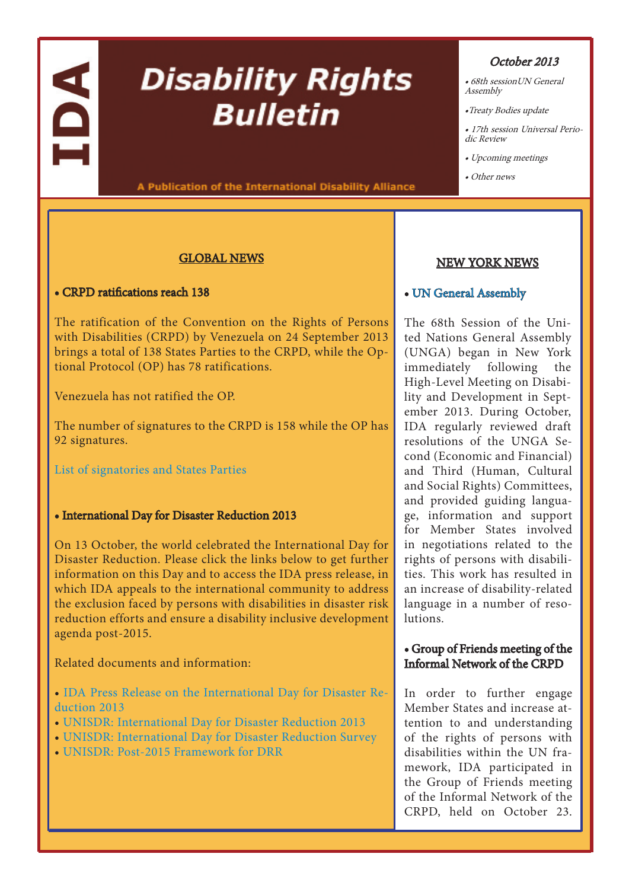# IDA

# **Disability Rights Bulletin**

A Publication of the International Disability Alliance

#### GLOBAL NEWS

#### • CRPD ratifications reach 138

The ratification of the Convention on the Rights of Persons with Disabilities (CRPD) by Venezuela on 24 September 2013 brings a total of 138 States Parties to the CRPD, while the Optional Protocol (OP) has 78 ratifications.

Venezuela has not ratified the OP.

The number of signatures to the CRPD is 158 while the OP has 92 signatures.

[List of signatories and States Parties](http://treaties.un.org/Pages/ViewDetails.aspx?src=TREATY&mtdsg_no=IV-15&chapter=4&lang=en)

#### • International Day for Disaster Reduction 2013

On 13 October, the world celebrated the International Day for Disaster Reduction. Please click the links below to get further information on this Day and to access the IDA press release, in which IDA appeals to the international community to address the exclusion faced by persons with disabilities in disaster risk reduction efforts and ensure a disability inclusive development agenda post-2015.

Related documents and information:

• [IDA Press Release on the International Day for Disaster Re](http://www.internationaldisabilityalliance.org/en/article/ida-press-release-international-day-disaster-reduction-2013)[duction 2013](http://www.internationaldisabilityalliance.org/en/article/ida-press-release-international-day-disaster-reduction-2013)

- [UNISDR: International Day for Disaster Reduction 2013](http://www.unisdr.org/2013/iddr/#.UlUI1dI70l8)
- [UNISDR: International Day for Disaster Reduction Survey](http://www.unisdr.org/2013/iddr/#survey)
- [•](http://www.internationaldisabilityalliance.org/en/article/ida-press-release-ida-board-meeting-13-15-july-2013) [UNISDR: Post-2015 Framework for DRR](http://www.unisdr.org/we/coordinate/hfa-post2015)

# October 2013

- 68th sessionUN General Assembly
- •Treaty Bodies update
- 17th session Universal Periodic Review
- Upcoming meetings
- Other news

# [NEW YORK NEWS](http://www.internationaldisabilityalliance.org/en/conference-of-states-parties)

# • [UN General Assembly](http://www.internationaldisabilityalliance.org/en/un-general-assembly)

The 68th Session of the United Nations General Assembly (UNGA) began in New York immediately following the High-Level Meeting on Disability and Development in September 2013. During October, IDA regularly reviewed draft resolutions of the UNGA Second (Economic and Financial) and Third (Human, Cultural and Social Rights) Committees, and provided guiding language, information and support for Member States involved in negotiations related to the rights of persons with disabilities. This work has resulted in an increase of disability-related language in a number of resolutions.

# [• Group of Friends meeting of the](http://www.internationaldisabilityalliance.org/en/un-general-assembly)  [Informal Network of the CRPD](http://www.internationaldisabilityalliance.org/en/un-general-assembly)

[In order to further engage](http://www.internationaldisabilityalliance.org/en/un-general-assembly)  [Member States and increase at](http://www.internationaldisabilityalliance.org/en/un-general-assembly)[tention to and understanding](http://www.internationaldisabilityalliance.org/en/un-general-assembly)  [of the rights of persons with](http://www.internationaldisabilityalliance.org/en/un-general-assembly)  [disabilities within the UN fra](http://www.internationaldisabilityalliance.org/en/un-general-assembly)[mework, IDA participated in](http://www.internationaldisabilityalliance.org/en/un-general-assembly)  [the Group of Friends meeting](http://www.internationaldisabilityalliance.org/en/un-general-assembly)  [of the Informal Network of the](http://www.internationaldisabilityalliance.org/en/un-general-assembly)  [CRPD, held on October 23.](http://www.internationaldisabilityalliance.org/en/un-general-assembly)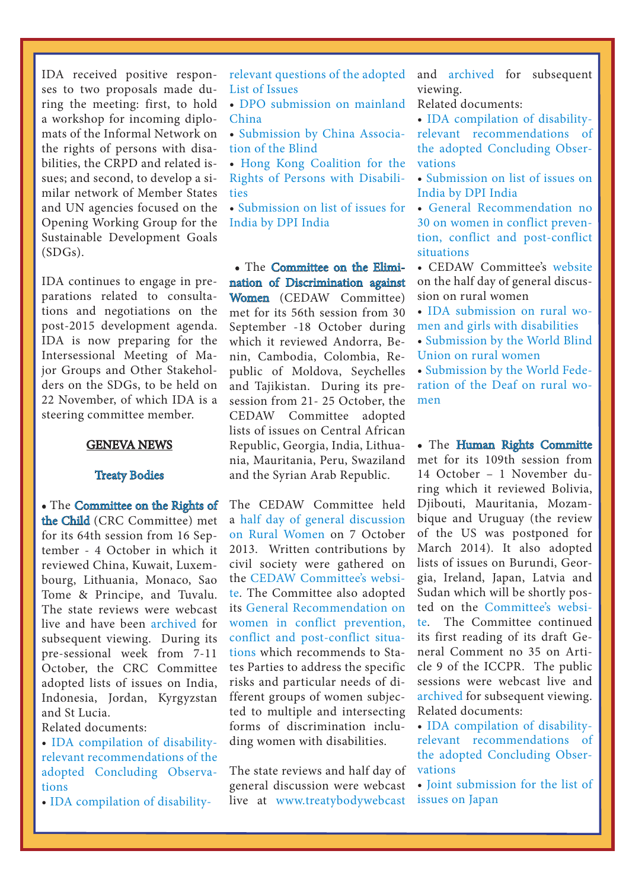IDA received positive responses to two proposals made during the meeting: first, to hold a workshop for incoming diplomats of the Informal Network on the rights of persons with disabilities, the CRPD and related issues; and second, to develop a similar network of Member States and UN agencies focused on the Opening Working Group for the Sustainable Development Goals (SDGs).

IDA continues to engage in preparations related to consultations and negotiations on the post-2015 development agenda. IDA is now preparing for the Intersessional Meeting of Major Groups and Other Stakeholders on the SDGs, to be held on 22 November, of which IDA is a steering committee member.

#### GENEVA NEWS

#### [Treaty Bodies](http://www.internationaldisabilityalliance.org/en/un-treaty-bodies)

• The [Committee on the Rights of](http://www.internationaldisabilityalliance.org/en/committee-on-the-rights-of-the-child)  [the Child](http://www.internationaldisabilityalliance.org/en/committee-on-the-rights-of-the-child) (CRC Committee) met for its 64th session from 16 September - 4 October in which it reviewed China, Kuwait, Luxembourg, Lithuania, Monaco, Sao Tome & Principe, and Tuvalu. The state reviews were webcast live and have been [archived](http://www.treatybodywebcast.org/category/webcast-archives/crc/) for subsequent viewing. During its pre-sessional week from 7-11 October, the CRC Committee adopted lists of issues on India, Indonesia, Jordan, Kyrgyzstan and St Lucia.

Related documents:

• [IDA compilation of disability](http://www.internationaldisabilityalliance.org/sites/disalliance.e-presentaciones.net/files/public/files/disability analysis 64th session.CRC.doc)[relevant recommendations of the](http://www.internationaldisabilityalliance.org/sites/disalliance.e-presentaciones.net/files/public/files/disability analysis 64th session.CRC.doc)  [adopted Concluding Observa](http://www.internationaldisabilityalliance.org/sites/disalliance.e-presentaciones.net/files/public/files/disability analysis 64th session.CRC.doc)[tions](http://www.internationaldisabilityalliance.org/sites/disalliance.e-presentaciones.net/files/public/files/disability analysis 64th session.CRC.doc)

[• IDA compilation of disability-](http://www.internationaldisabilityalliance.org/sites/disalliance.e-presentaciones.net/files/public/files/disability analysis list of issues Nov 2013.CRC.doc)

[relevant questions of the adopted](http://www.internationaldisabilityalliance.org/sites/disalliance.e-presentaciones.net/files/public/files/disability analysis list of issues Nov 2013.CRC.doc)  [List of Issues](http://www.internationaldisabilityalliance.org/sites/disalliance.e-presentaciones.net/files/public/files/disability analysis list of issues Nov 2013.CRC.doc)

• [DPO submission on mainland](http://www.internationaldisabilityalliance.org/sites/disalliance.e-presentaciones.net/files/public/files/ChineseDisabledPersonsOrganisations_China64.doc)  [China](http://www.internationaldisabilityalliance.org/sites/disalliance.e-presentaciones.net/files/public/files/ChineseDisabledPersonsOrganisations_China64.doc)

• [Submission by China Associa](http://www2.ohchr.org/english/bodies/crc/docs/ngos/AssociationOfTheBlind_China64.doc)[tion of the Blind](http://www2.ohchr.org/english/bodies/crc/docs/ngos/AssociationOfTheBlind_China64.doc)

• [Hong Kong Coalition for the](http://www.internationaldisabilityalliance.org/sites/disalliance.e-presentaciones.net/files/public/files/HKCoalitionRightsPersonsDisabilities_China_CRC64.doc)  [Rights of Persons with Disabili](http://www.internationaldisabilityalliance.org/sites/disalliance.e-presentaciones.net/files/public/files/HKCoalitionRightsPersonsDisabilities_China_CRC64.doc)[ties](http://www.internationaldisabilityalliance.org/sites/disalliance.e-presentaciones.net/files/public/files/HKCoalitionRightsPersonsDisabilities_China_CRC64.doc) 

• [Submission on list of issues for](http://www.internationaldisabilityalliance.org/sites/disalliance.e-presentaciones.net/files/public/files/Alternative%20Report%20to%20the%20CRC%20Committee%20on%20the%20Rights%20of%20CWDs.doc)  [India by DPI India](http://www.internationaldisabilityalliance.org/sites/disalliance.e-presentaciones.net/files/public/files/Alternative%20Report%20to%20the%20CRC%20Committee%20on%20the%20Rights%20of%20CWDs.doc)

• The [Committee on the Elimi](http://www.internationaldisabilityalliance.org/en/committee-on-the-elimination-of-discripmination)[nation of Discrimination against](http://www.internationaldisabilityalliance.org/en/committee-on-the-elimination-of-discripmination)  [Women](http://www.internationaldisabilityalliance.org/en/committee-on-the-elimination-of-discripmination) (CEDAW Committee) met for its 56th session from 30 September -18 October during which it reviewed Andorra, Benin, Cambodia, Colombia, Republic of Moldova, Seychelles and Tajikistan. During its presession from 21- 25 October, the CEDAW Committee adopted lists of issues on Central African Republic, Georgia, India, Lithuania, Mauritania, Peru, Swaziland and the Syrian Arab Republic.

The CEDAW Committee held a [half day of general discussion](http://www.ohchr.org/EN/HRBodies/CEDAW/Pages/RuralWomen.aspx)  [on Rural Women](http://www.ohchr.org/EN/HRBodies/CEDAW/Pages/RuralWomen.aspx) on 7 October 2013. Written contributions by civil society were gathered on the [CEDAW Committee's websi](http://www.ohchr.org/EN/HRBodies/CEDAW/Pages/ContributionsRuralWomen.aspx)[te](http://www.ohchr.org/EN/HRBodies/CEDAW/Pages/ContributionsRuralWomen.aspx). The Committee also adopted its [General Recommendation on](http://www.ohchr.org/Documents/HRBodies/CEDAW/GComments/CEDAW.C.CG.30.pdf)  [women in conflict prevention,](http://www.ohchr.org/Documents/HRBodies/CEDAW/GComments/CEDAW.C.CG.30.pdf)  [conflict and post-conflict situa](http://www.ohchr.org/Documents/HRBodies/CEDAW/GComments/CEDAW.C.CG.30.pdf)[tions](http://www.ohchr.org/Documents/HRBodies/CEDAW/GComments/CEDAW.C.CG.30.pdf) which recommends to States Parties to address the specific risks and particular needs of different groups of women subjected to multiple and intersecting forms of discrimination including women with disabilities.

The state reviews and half day of general discussion were webcast [l](http://www.treatybodywebcast.org/)ive at [www.treatybodywebcast](http://www.treatybodywebcast.org/) and [archived](http://www.treatybodywebcast.org/category/webcast-archives/cedaw-webcast-archives/) for subsequent viewing.

Related documents:

• [IDA compilation of disability](http://www.internationaldisabilityalliance.org/sites/disalliance.e-presentaciones.net/files/public/files/disability analysis 56th session.CEDAW.doc)[relevant recommendations of](http://www.internationaldisabilityalliance.org/sites/disalliance.e-presentaciones.net/files/public/files/disability analysis 56th session.CEDAW.doc)  [the adopted Concluding Obser](http://www.internationaldisabilityalliance.org/sites/disalliance.e-presentaciones.net/files/public/files/disability analysis 56th session.CEDAW.doc)[vations](http://www.internationaldisabilityalliance.org/sites/disalliance.e-presentaciones.net/files/public/files/disability analysis 56th session.CEDAW.doc)

• [Submission on list of issues on](http://www.internationaldisabilityalliance.org/sites/disalliance.e-presentaciones.net/files/public/files/DPI%20India_CEDAW%20Report.doc)  [India by DPI India](http://www.internationaldisabilityalliance.org/sites/disalliance.e-presentaciones.net/files/public/files/DPI%20India_CEDAW%20Report.doc)

• [General Recommendation no](http://www.ohchr.org/Documents/HRBodies/CEDAW/GComments/CEDAW.C.CG.30.pdf)  [30 on women in conflict preven](http://www.ohchr.org/Documents/HRBodies/CEDAW/GComments/CEDAW.C.CG.30.pdf)[tion, conflict and post-conflict](http://www.ohchr.org/Documents/HRBodies/CEDAW/GComments/CEDAW.C.CG.30.pdf)  [situations](http://www.ohchr.org/Documents/HRBodies/CEDAW/GComments/CEDAW.C.CG.30.pdf)

• CEDAW Committee's [website](http://www.ohchr.org/EN/HRBodies/CEDAW/Pages/RuralWomen.aspx)  on the half day of general discussion on rural women

• [IDA submission on rural wo](http://www.internationaldisabilityalliance.org/sites/disalliance.e-presentaciones.net/files/public/files/IDA%20submission%20on%20rural%20women%20and%20girls%20with%20disabilities.CEDAW%20half%20DGD.56th%20session.final.docx)[men and girls with disabilities](http://www.internationaldisabilityalliance.org/sites/disalliance.e-presentaciones.net/files/public/files/IDA%20submission%20on%20rural%20women%20and%20girls%20with%20disabilities.CEDAW%20half%20DGD.56th%20session.final.docx)

• [Submission by the World Blind](http://www.internationaldisabilityalliance.org/sites/disalliance.e-presentaciones.net/files/public/files/General%20recommendation-CEDAW-Rural%20women-WBU%20submission.docx)  [Union on rural women](http://www.internationaldisabilityalliance.org/sites/disalliance.e-presentaciones.net/files/public/files/General%20recommendation-CEDAW-Rural%20women-WBU%20submission.docx)

• [Submission by the World Fede](http://www.internationaldisabilityalliance.org/sites/disalliance.e-presentaciones.net/files/public/files/WFD%20submission%20rural%20women.pdf)[ration of the Deaf on rural wo](http://www.internationaldisabilityalliance.org/sites/disalliance.e-presentaciones.net/files/public/files/WFD%20submission%20rural%20women.pdf)[men](http://www.internationaldisabilityalliance.org/sites/disalliance.e-presentaciones.net/files/public/files/WFD%20submission%20rural%20women.pdf)

• The [Human Rights Committe](http://www.internationaldisabilityalliance.org/en/human-rights-commitee)  met for its 109th session from 14 October – 1 November during which it reviewed Bolivia, Djibouti, Mauritania, Mozambique and Uruguay (the review of the US was postponed for March 2014). It also adopted lists of issues on Burundi, Georgia, Ireland, Japan, Latvia and Sudan which will be shortly posted on the [Committee's websi](http://tbinternet.ohchr.org/_layouts/treatybodyexternal/SessionDetails1.aspx?SessionID=624&Lang=en)[te](http://tbinternet.ohchr.org/_layouts/treatybodyexternal/SessionDetails1.aspx?SessionID=624&Lang=en). The Committee continued its first reading of its draft General Comment no 35 on Article 9 of the ICCPR. The public sessions were webcast live and [archived](http://www.treatybodywebcast.org/category/webcast-archives/hrcttee/) for subsequent viewing. Related documents:

• [IDA compilation of disability](http://www.internationaldisabilityalliance.org/sites/disalliance.e-presentaciones.net/files/public/files/disability analysis 109th session.HRCttee.doc)[relevant recommendations of](http://www.internationaldisabilityalliance.org/sites/disalliance.e-presentaciones.net/files/public/files/disability analysis 109th session.HRCttee.doc)  [the adopted Concluding Obser](http://www.internationaldisabilityalliance.org/sites/disalliance.e-presentaciones.net/files/public/files/disability analysis 109th session.HRCttee.doc)[vations](http://www.internationaldisabilityalliance.org/sites/disalliance.e-presentaciones.net/files/public/files/disability analysis 109th session.HRCttee.doc)

• [Joint submission for the list of](http://www.internationaldisabilityalliance.org/sites/disalliance.e-presentaciones.net/files/public/files/Suggested questions for Japan under the ICCPR final %282%29.docx)  [issues on Japan](http://www.internationaldisabilityalliance.org/sites/disalliance.e-presentaciones.net/files/public/files/Suggested questions for Japan under the ICCPR final %282%29.docx)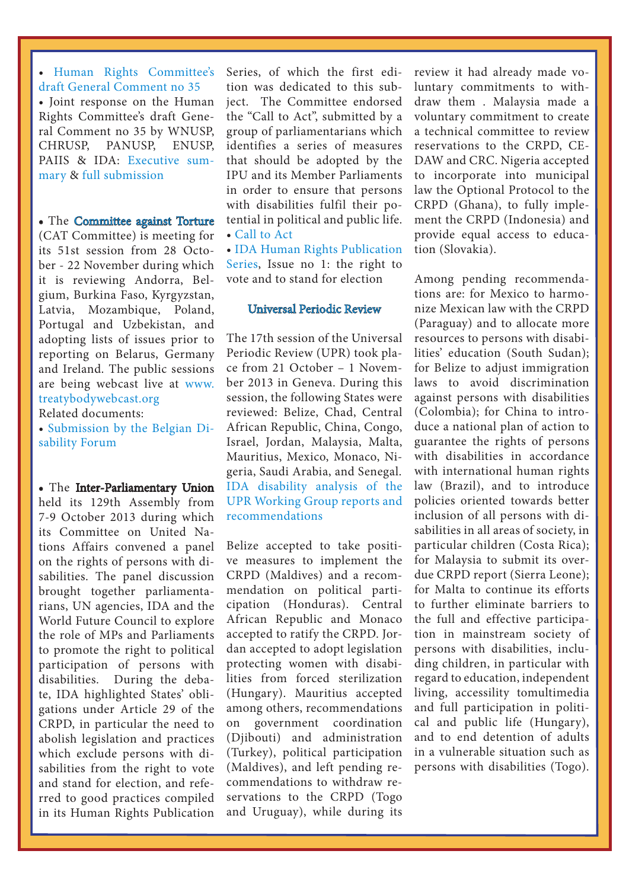• [Human Rights Committee's](http://www2.ohchr.org/english/bodies/hrc/docs/DGC35_en.doc)  [draft General Comment no 35](http://www2.ohchr.org/english/bodies/hrc/docs/DGC35_en.doc) • Joint response on the Human Rights Committee's draft General Comment no 35 by WNUSP, CHRUSP, PANUSP, ENUSP, PAIIS & IDA: [Executive sum](http://www.internationaldisabilityalliance.org/sites/disalliance.e-presentaciones.net/files/public/files/WNUSPHRCmteExecSumFINAL.docx)[mary](http://www.internationaldisabilityalliance.org/sites/disalliance.e-presentaciones.net/files/public/files/WNUSPHRCmteExecSumFINAL.docx) & [full submission](http://www.internationaldisabilityalliance.org/sites/disalliance.e-presentaciones.net/files/public/files/WNUSPHRCmteresponseFINAL.docx)

• The [Committee against Torture](http://www.internationaldisabilityalliance.org/en/committee-against-torture) (CAT Committee) is meeting for its 51st session from 28 October - 22 November during which it is reviewing Andorra, Belgium, Burkina Faso, Kyrgyzstan, Latvia, Mozambique, Poland, Portugal and Uzbekistan, and adopting lists of issues prior to reporting on Belarus, Germany and Ireland. The public sessions are being webcast live at [www.](http://www.treatybodywebcast.org/) [treatybodywebcast.org](http://www.treatybodywebcast.org/)

Related documents:

• [Submission by the Belgian Di](http://www.internationaldisabilityalliance.org/sites/disalliance.e-presentaciones.net/files/public/files/2013-10-14 - CAT - Rapport alternatif - Belgique.docx)[sability Forum](http://www.internationaldisabilityalliance.org/sites/disalliance.e-presentaciones.net/files/public/files/2013-10-14 - CAT - Rapport alternatif - Belgique.docx)

• The [Inter-Parliamentary Union](http://www.internationaldisabilityalliance.org/en/human-rights-commitee)  held its 129th Assembly from 7-9 October 2013 during which its Committee on United Nations Affairs convened a panel on the rights of persons with disabilities. The panel discussion brought together parliamentarians, UN agencies, IDA and the World Future Council to explore the role of MPs and Parliaments to promote the right to political participation of persons with disabilities. During the debate, IDA highlighted States' obligations under Article 29 of the CRPD, in particular the need to abolish legislation and practices which exclude persons with disabilities from the right to vote and stand for election, and referred to good practices compiled in its Human Rights Publication

 $\overline{a}$ 

Series, of which the first edition was dedicated to this subject. The Committee endorsed the "Call to Act", submitted by a group of parliamentarians which identifies a series of measures that should be adopted by the IPU and its Member Parliaments in order to ensure that persons with disabilities fulfil their potential in political and public life. • [Call to Act](http://www.internationaldisabilityalliance.org/sites/disalliance.e-presentaciones.net/files/public/files/CALL TO ACT.doc)

• [IDA Human Rights Publication](http://www.internationaldisabilityalliance.org/en/idas-human-rights-publication-series)  [Series](http://www.internationaldisabilityalliance.org/en/idas-human-rights-publication-series), Issue no 1: the right to vote and to stand for election

#### [Universal Periodic Review](http://www.internationaldisabilityalliance.org/en/universal-periodic-review)

The 17th session of the Universal Periodic Review (UPR) took place from 21 October – 1 November 2013 in Geneva. During this session, the following States were reviewed: Belize, Chad, Central African Republic, China, Congo, Israel, Jordan, Malaysia, Malta, Mauritius, Mexico, Monaco, Nigeria, Saudi Arabia, and Senegal. [IDA disability analysis of the](http://www.internationaldisabilityalliance.org/sites/disalliance.e-presentaciones.net/files/public/files/UPR17 Disability analysis and status of recs before HRC25 adoption 5 November 2013.doc)  [UPR Working Group reports and](http://www.internationaldisabilityalliance.org/sites/disalliance.e-presentaciones.net/files/public/files/UPR17 Disability analysis and status of recs before HRC25 adoption 5 November 2013.doc)  [recommendations](http://www.internationaldisabilityalliance.org/sites/disalliance.e-presentaciones.net/files/public/files/UPR17 Disability analysis and status of recs before HRC25 adoption 5 November 2013.doc)

Belize accepted to take positive measures to implement the CRPD (Maldives) and a recommendation on political participation (Honduras). Central African Republic and Monaco accepted to ratify the CRPD. Jordan accepted to adopt legislation protecting women with disabilities from forced sterilization (Hungary). Mauritius accepted among others, recommendations on government coordination (Djibouti) and administration (Turkey), political participation (Maldives), and left pending recommendations to withdraw reservations to the CRPD (Togo and Uruguay), while during its

review it had already made voluntary commitments to withdraw them . Malaysia made a voluntary commitment to create a technical committee to review reservations to the CRPD, CE-DAW and CRC. Nigeria accepted to incorporate into municipal law the Optional Protocol to the CRPD (Ghana), to fully implement the CRPD (Indonesia) and provide equal access to education (Slovakia).

Among pending recommendations are: for Mexico to harmonize Mexican law with the CRPD (Paraguay) and to allocate more resources to persons with disabilities' education (South Sudan); for Belize to adjust immigration laws to avoid discrimination against persons with disabilities (Colombia); for China to introduce a national plan of action to guarantee the rights of persons with disabilities in accordance with international human rights law (Brazil), and to introduce policies oriented towards better inclusion of all persons with disabilities in all areas of society, in particular children (Costa Rica); for Malaysia to submit its overdue CRPD report (Sierra Leone); for Malta to continue its efforts to further eliminate barriers to the full and effective participation in mainstream society of persons with disabilities, including children, in particular with regard to education, independent living, accessility tomultimedia and full participation in political and public life (Hungary), and to end detention of adults in a vulnerable situation such as persons with disabilities (Togo).